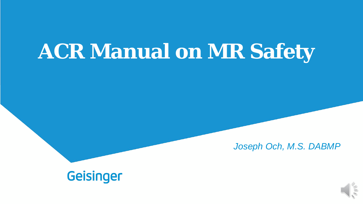# **ACR Manual on MR Safety**

*Joseph Och, M.S. DABMP*

### **Geisinger**

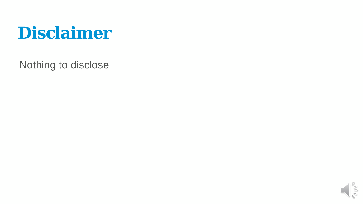

Nothing to disclose

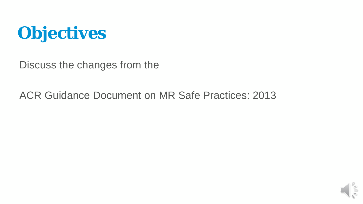

Discuss the changes from the

#### ACR Guidance Document on MR Safe Practices: 2013

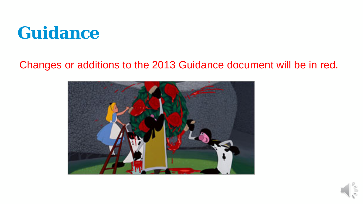

### Changes or additions to the 2013 Guidance document will be in red.



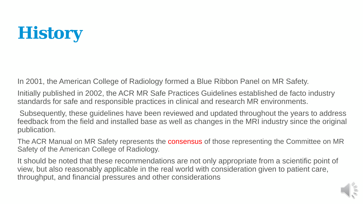# **History**

In 2001, the American College of Radiology formed a Blue Ribbon Panel on MR Safety.

Initially published in 2002, the ACR MR Safe Practices Guidelines established de facto industry standards for safe and responsible practices in clinical and research MR environments.

Subsequently, these guidelines have been reviewed and updated throughout the years to address feedback from the field and installed base as well as changes in the MRI industry since the original publication.

The ACR Manual on MR Safety represents the **consensus** of those representing the Committee on MR Safety of the American College of Radiology.

It should be noted that these recommendations are not only appropriate from a scientific point of view, but also reasonably applicable in the real world with consideration given to patient care, throughput, and financial pressures and other considerations

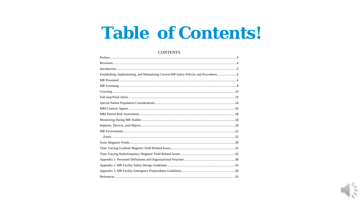### **Table of Contents!**

#### **CONTENTS**

| Establishing, Implementing, and Maintaining Current MR Safety Policies and Procedures |  |
|---------------------------------------------------------------------------------------|--|
|                                                                                       |  |
|                                                                                       |  |
|                                                                                       |  |
|                                                                                       |  |
|                                                                                       |  |
|                                                                                       |  |
|                                                                                       |  |
|                                                                                       |  |
|                                                                                       |  |
|                                                                                       |  |
|                                                                                       |  |
|                                                                                       |  |
|                                                                                       |  |
|                                                                                       |  |
|                                                                                       |  |
|                                                                                       |  |
|                                                                                       |  |
|                                                                                       |  |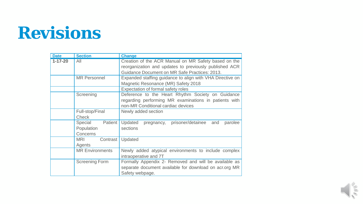## **Revisions**

| <b>Date</b>   | <b>Section</b>         | <b>Change</b>                                                |  |
|---------------|------------------------|--------------------------------------------------------------|--|
| $1 - 17 - 20$ | All                    | Creation of the ACR Manual on MR Safety based on the         |  |
|               |                        | reorganization and updates to previously published ACR       |  |
|               |                        | Guidance Document on MR Safe Practices: 2013.                |  |
|               | <b>MR Personnel</b>    | Expanded staffing guidance to align with VHA Directive on    |  |
|               |                        | Magnetic Resonance (MR) Safety 2018                          |  |
|               |                        | Expectation of formal safety roles                           |  |
|               | Screening              | Deference to the Heart Rhythm Society on Guidance            |  |
|               |                        | regarding performing MR examinations in patients with        |  |
|               |                        | non-MR Conditional cardiac devices                           |  |
|               | Full-stop/Final        | Newly added section                                          |  |
|               | <b>Check</b>           |                                                              |  |
|               | Special Patient        | prisoner/detainee<br>Updated<br>and<br>parolee<br>pregnancy, |  |
|               | Population             | sections                                                     |  |
|               | Concerns               |                                                              |  |
|               | Contrast<br><b>MRI</b> | Updated                                                      |  |
|               | Agents                 |                                                              |  |
|               | <b>MR</b> Environments | Newly added atypical environments to include complex         |  |
|               |                        | intraoperative and 7T                                        |  |
|               | <b>Screening Form</b>  | Formally Appendix 2- Removed and will be available as        |  |
|               |                        | separate document available for download on acrorg MR        |  |
|               |                        | Safety webpage.                                              |  |

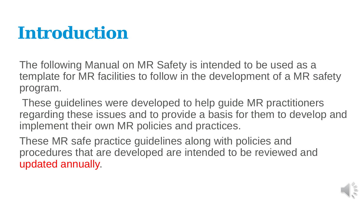## **Introduction**

The following Manual on MR Safety is intended to be used as a template for MR facilities to follow in the development of a MR safety program.

These guidelines were developed to help guide MR practitioners regarding these issues and to provide a basis for them to develop and implement their own MR policies and practices.

These MR safe practice guidelines along with policies and procedures that are developed are intended to be reviewed and updated annually.

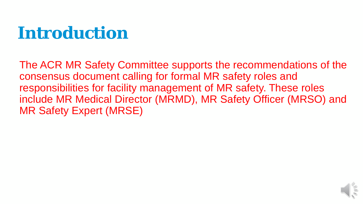## **Introduction**

The ACR MR Safety Committee supports the recommendations of the consensus document calling for formal MR safety roles and responsibilities for facility management of MR safety. These roles include MR Medical Director (MRMD), MR Safety Officer (MRSO) and MR Safety Expert (MRSE)

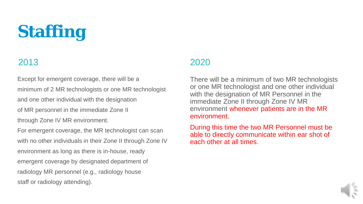# **Staffing**

Except for emergent coverage, there will be a minimum of 2 MR technologists or one MR technologist and one other individual with the designation

of MR personnel in the immediate Zone II

through Zone IV MR environment.

For emergent coverage, the MR technologist can scan with no other individuals in their Zone II through Zone IV environment as long as there is in-house, ready emergent coverage by designated department of radiology MR personnel (e.g., radiology house staff or radiology attending).

#### 2013 2020

There will be a minimum of two MR technologists or one MR technologist and one other individual with the designation of MR Personnel in the immediate Zone II through Zone IV MR environment whenever patients are in the MR environment.

During this time the two MR Personnel must be able to directly communicate within ear shot of each other at all times.

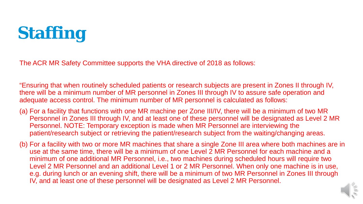

The ACR MR Safety Committee supports the VHA directive of 2018 as follows:

"Ensuring that when routinely scheduled patients or research subjects are present in Zones II through IV, there will be a minimum number of MR personnel in Zones III through IV to assure safe operation and adequate access control. The minimum number of MR personnel is calculated as follows:

- (a) For a facility that functions with one MR machine per Zone III/IV, there will be a minimum of two MR Personnel in Zones III through IV, and at least one of these personnel will be designated as Level 2 MR Personnel. NOTE: Temporary exception is made when MR Personnel are interviewing the patient/research subject or retrieving the patient/research subject from the waiting/changing areas.
- (b) For a facility with two or more MR machines that share a single Zone III area where both machines are in use at the same time, there will be a minimum of one Level 2 MR Personnel for each machine and a minimum of one additional MR Personnel, i.e., two machines during scheduled hours will require two Level 2 MR Personnel and an additional Level 1 or 2 MR Personnel. When only one machine is in use, e.g. during lunch or an evening shift, there will be a minimum of two MR Personnel in Zones III through IV, and at least one of these personnel will be designated as Level 2 MR Personnel.

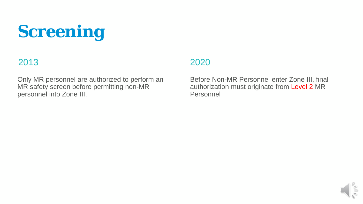# **Screening**

#### 2013 2020

Only MR personnel are authorized to perform an MR safety screen before permitting non-MR personnel into Zone III.

Before Non-MR Personnel enter Zone III, final authorization must originate from Level 2 MR Personnel

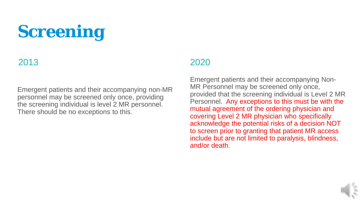# **Screening**

#### 2013 2020

Emergent patients and their accompanying non-MR personnel may be screened only once, providing the screening individual is level 2 MR personnel. There should be no exceptions to this.

Emergent patients and their accompanying Non-MR Personnel may be screened only once, provided that the screening individual is Level 2 MR Personnel. Any exceptions to this must be with the mutual agreement of the ordering physician and covering Level 2 MR physician who specifically acknowledge the potential risks of a decision NOT to screen prior to granting that patient MR access include but are not limited to paralysis, blindness, and/or death.

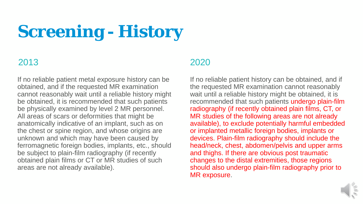# **Screening - History**

#### 2013 2020

If no reliable patient metal exposure history can be obtained, and if the requested MR examination cannot reasonably wait until a reliable history might be obtained, it is recommended that such patients be physically examined by level 2 MR personnel. All areas of scars or deformities that might be anatomically indicative of an implant, such as on the chest or spine region, and whose origins are unknown and which may have been caused by ferromagnetic foreign bodies, implants, etc., should be subject to plain-film radiography (if recently obtained plain films or CT or MR studies of such areas are not already available).

If no reliable patient history can be obtained, and if the requested MR examination cannot reasonably wait until a reliable history might be obtained, it is recommended that such patients undergo plain-film radiography (if recently obtained plain films, CT, or MR studies of the following areas are not already available), to exclude potentially harmful embedded or implanted metallic foreign bodies, implants or devices. Plain-film radiography should include the head/neck, chest, abdomen/pelvis and upper arms and thighs. If there are obvious post traumatic changes to the distal extremities, those regions should also undergo plain-film radiography prior to MR exposure.

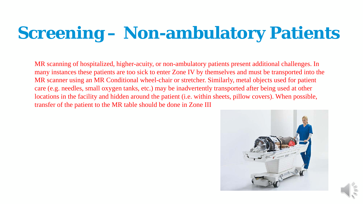# **Screening – Non-ambulatory Patients**

MR scanning of hospitalized, higher-acuity, or non-ambulatory patients present additional challenges. In many instances these patients are too sick to enter Zone IV by themselves and must be transported into the MR scanner using an MR Conditional wheel-chair or stretcher. Similarly, metal objects used for patient care (e.g. needles, small oxygen tanks, etc.) may be inadvertently transported after being used at other locations in the facility and hidden around the patient (i.e. within sheets, pillow covers). When possible, transfer of the patient to the MR table should be done in Zone III

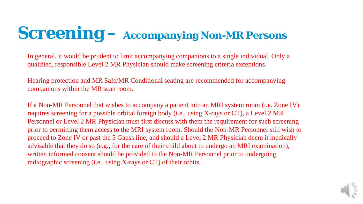## **Screening – Accompanying Non-MR Persons**

In general, it would be prudent to limit accompanying companions to a single individual. Only a qualified, responsible Level 2 MR Physician should make screening criteria exceptions.

 $\overline{AP}$  Safe/MR Conditional seating are recommended for accompa children and text conditional source are to commenced to accom-Personnel: once in the presence of parents or guardians, and Hearing protection and MR Safe/MR Conditional seating are recommended for accompanying companions within the MR scan room.

that wishes to accompany a patient into an MRI system room  $\frac{d}{dx}$  denote the disclosed that the metal that the set of  $\frac{d}{dx}$  or  $\frac{d}{dx}$  and  $\frac{d}{dx}$  $\mathbf{Q}$  Physician must first discuss with them the requirement for such objects, to the MRI system room. Should the Non-MR Person If a Non-MR Personnel that wishes to accompany a patient into an MRI system room (i.e. Zone IV) requires screening for a possible orbital foreign body (i.e., using X-rays or CT), a Level 2 MR Personnel or Level 2 MR Physician must first discuss with them the requirement for such screening prior to permitting them access to the MRI system room. Should the Non-MR Personnel still wish to proceed to Zone IV or past the 5 Gauss line, and should a Level 2 MR Physician deem it medically advisable that they do so (e.g., for the care of their child about to undergo an MRI examination), written informed consent should be provided to the Non-MR Personnel prior to undergoing radiographic screening (i.e., using X-rays or CT) of their orbits.

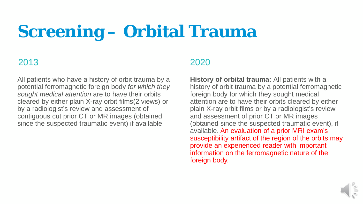## **Screening – Orbital Trauma**

All patients who have a history of orbit trauma by a potential ferromagnetic foreign body *for which they sought medical attention* are to have their orbits cleared by either plain X-ray orbit films(2 views) or by a radiologist's review and assessment of contiguous cut prior CT or MR images (obtained since the suspected traumatic event) if available.

#### 2013 2020

**History of orbital trauma:** All patients with a history of orbit trauma by a potential ferromagnetic foreign body for which they sought medical attention are to have their orbits cleared by either plain X-ray orbit films or by a radiologist's review and assessment of prior CT or MR images (obtained since the suspected traumatic event), if available. An evaluation of a prior MRI exam's susceptibility artifact of the region of the orbits may provide an experienced reader with important information on the ferromagnetic nature of the foreign body.

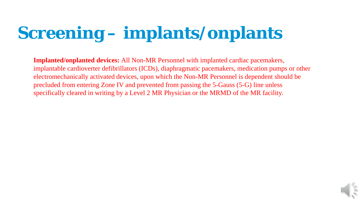# **Screening – implants/onplants**

**Implanted/onplanted devices:** All Non-MR Personnel with implanted cardiac pacemakers, implantable cardioverter defibrillators (ICDs), diaphragmatic pacemakers, medication pumps or other electromechanically activated devices, upon which the Non-MR Personnel is dependent should be precluded from entering Zone IV and prevented from passing the 5-Gauss (5-G) line unless specifically cleared in writing by a Level 2 MR Physician or the MRMD of the MR facility.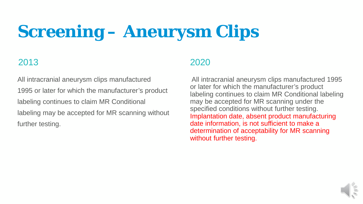# **Screening – Aneurysm Clips**

All intracranial aneurysm clips manufactured 1995 or later for which the manufacturer's product labeling continues to claim MR Conditional labeling may be accepted for MR scanning without further testing.

#### 2013 2020

All intracranial aneurysm clips manufactured 1995 or later for which the manufacturer's product labeling continues to claim MR Conditional labeling may be accepted for MR scanning under the specified conditions without further testing. Implantation date, absent product manufacturing date information, is not sufficient to make a determination of acceptability for MR scanning without further testing.

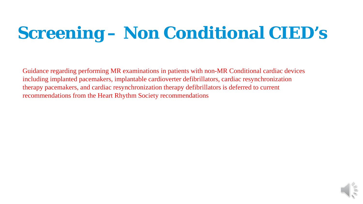# **Screening – Non Conditional CIED's**

including implanted pacemakers, implantable cardioverter defibrillators, cardiac resynchronization therapy pacemakers, and cardiac resynchronization therapy defibrillators is deferred to current recommendations from the Heart Rhythm Society recommendations resynchronization therapy pacemakers, and cardiac Guidance regarding performing MR examinations in patients with non-MR Conditional cardiac devices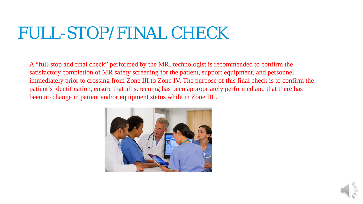## FULL-STOP/FINAL CHECK

A "full-stop and final check" performed by the MRI technologist is recommended to confirm the satisfactory completion of MR safety screening for the patient, support equipment, and personnel immediately prior to crossing from Zone III to Zone IV. The purpose of this final check is to confirm the patient's identification, ensure that all screening has been appropriately performed and that there has been no change in patient and/or equipment status while in Zone III.



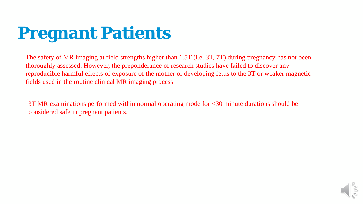## **Pregnant Patients**

 $G(x)$  or caposure of the mother of developing retus to the  $51$  of Emilian MR maging process fields used in the routine clinical MR imaging process The safety of MR imaging at field strengths higher than 1.5T (i.e. 3T, 7T) during pregnancy has not been thoroughly assessed. However, the preponderance of research studies have failed to discover any reproducible harmful effects of exposure of the mother or developing fetus to the 3T or weaker magnetic

 $r$  respectively interesting the result of the respectively properties. responsive definition therapy definition therapy definition therapy definition of the current of the current of  $\mathcal{L}$ recommendations from the Heart Rhythm Society However, the preponderance of research studies have failed to  $3T$  MR examinations performed within normal operating mode for  $<30$  minute durations should be considered safe in pregnant patients.

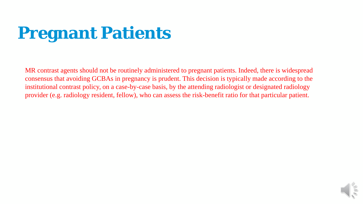# **Pregnant Patients**

GCBAs in pregnancy is prudent. This decision is typically magnetic cy, on a case-by-case basis, by the attending radiologist or designesident, fellow), who can assess the risk-benefit ratio for tha consensus that avoiding GCBAs in pregnancy is prudent. This decision is typically made according to the institutional contrast policy, on a case-by-case basis, by the attending radiologist or designated radiology provider (e.g. radiology resident, fellow), who can assess the risk-benefit ratio for that particular patient. MR contrast agents should not be routinely administered to pregnant patients. Indeed, there is widespread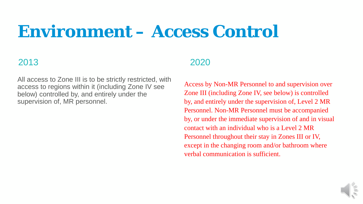## **Environment – Access Control**

#### 2013 2020

All access to Zone III is to be strictly restricted, with access to regions within it (including Zone IV see below) controlled by, and entirely under the supervision of, MR personnel.

Access by Non-MR Personnel to and supervision over Zone III (including Zone IV, see below) is controlled by, and entirely under the supervision of, Level 2 MR Personnel. Non-MR Personnel must be accompanied by, or under the immediate supervision of and in visual contact with an individual who is a Level 2 MR Personnel throughout their stay in Zones III or IV, except in the changing room and/or bathroom where verbal communication is sufficient.

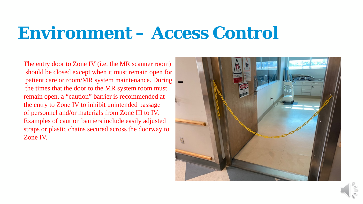### **Environment – Access Control**

 $\frac{1}{\sqrt{2}}$  response the synchronization therapy parameters  $\frac{1}{\sqrt{2}}$  $\mathbf{r}$  include easily adinsted straps or plastic chains secured across the doorway to patient care or room/MR system maintenance. During **at figure 1.5T and 1.5T and 1.5T and 1.5T and 1.5T and 1.5T and 1.5T and 1.5T and 1.5T and 1.5T and 1.5T and 1.5T and 1.5T and 1.5T and 1.5T and 1.5T and 1.5T and 1.6T an** the times that the door to the MR system room must remain open, a "caution" barrier is recommended at the entry to Zone IV to inhibit unintended passage  $\mathbb{R}$ of personnel and/or materials from Zone III to IV. Examples of caution barriers include easily adjusted The entry door to Zone IV (i.e. the MR scanner room) should be closed except when it must remain open for Zone IV.

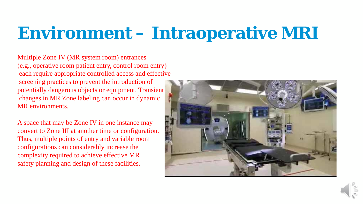## **Environment – Intraoperative MRI**

 $\frac{1}{\sqrt{2}}$  and  $\frac{1}{\sqrt{2}}$  and  $\frac{1}{\sqrt{2}}$  and  $\frac{1}{\sqrt{2}}$  and  $\frac{1}{\sqrt{2}}$  and  $\frac{1}{\sqrt{2}}$  and  $\frac{1}{\sqrt{2}}$  and  $\frac{1}{\sqrt{2}}$  and  $\frac{1}{\sqrt{2}}$  and  $\frac{1}{\sqrt{2}}$  and  $\frac{1}{\sqrt{2}}$  and  $\frac{1}{\sqrt{2}}$  and  $\frac{1}{\sqrt{2}}$  and response to the cardiac pacemakers, and cardiac packagers, and cardiac packagers, and cardiac packagers, and c screening practices to prevent the introduction of potentially dangerous objects or equipment. Transient and the contract of the contract of the contract of the contract of the contract of the contract of the contract of the contract of the contract of the contract of the changes in MR Zone labeling can occur in dynamic and the changes in MR Zone labeling can occur in dynamic Multiple Zone IV (MR system room) entrances (e.g., operative room patient entry, control room entry) each require appropriate controlled access and effective MR environments.

required to the model of  $\mathbf{r}$ A space that may be Zone IV in one instance may  $\Box$ convert to Zone III at another time or configuration. Thus, multiple points of entry and variable room configurations can considerably increase the complexity required to achieve effective MR safety planning and design of these facilities.



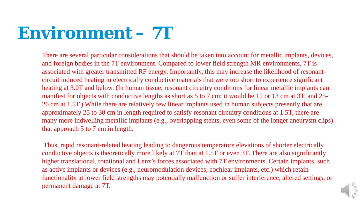## **Environment – 7T**

ting in electrically conductive materials that were too short to  $\overline{\mathcal{C}}$  below (In human tissue resonant circuitry conditions for lines s with conductive lengths as short as 5 to 7 cm; it would be 1 rile there are relatively few linear implants used in h o 30 cm in length required to satisfy resonant circuitry conditional  $r_{\text{free}}$  in  $\sigma$  metallic implants (e.g. overlapping stents ever that approach  $5$  to  $7$  cm in length. circuit induced heating in electrically conductive materials that were too short to experience significant heating at 3.0T and below. (In human tissue, resonant circuitry conditions for linear metallic implants can manifest for objects with conductive lengths as short as 5 to 7 cm; it would be 12 or 13 cm at 3T, and 25-26 cm at 1.5T.) While there are relatively few linear implants used in human subjects presently that are approximately 25 to 30 cm in length required to satisfy resonant circuitry conditions at 1.5T, there are many more indwelling metallic implants (e.g., overlapping stents, even some of the longer aneurysm clips) There are several particular considerations that should be taken into account for metallic implants, devices, and foreign bodies in the 7T environment. Compared to lower field strength MR environments, 7T is associated with greater transmitted RF energy. Importantly, this may increase the likelihood of resonant-

Thus, rapid resonant-related heating leading to dangerous temperature elevations of shorter electrically conductive objects is theoretically more likely at 7T than at 1.5T or even 3T. There are also significantly higher translational, rotational and Lenz's forces associated with 7T environments. Certain implants, such as active implants or devices (e.g., neuromodulation devices, cochlear implants, etc.) which retain functionality at lower field strengths may potentially malfunction or suffer interference, altered settings, or permanent damage at 7T.

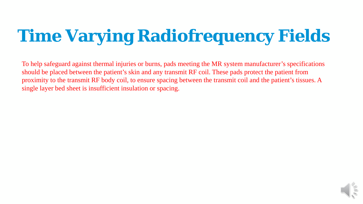# **Time Varying Radiofrequency Fields**

To help safeguard against thermal injuries or burns, pads meeting the MR system manufacturer's specifications should be placed between the patient's skin and any transmit RF coil. These pads protect the patient from proximity to the transmit RF body coil, to ensure spacing between the transmit coil and the patient's tissues. A single layer bed sheet is insufficient insulation or spacing.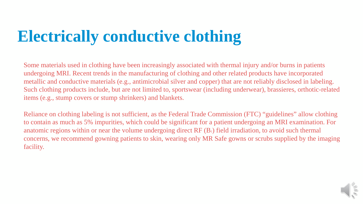## **Electrically conductive clothing**

Guidance regionalization and compared that are not related macrials (e.g., antimorobial sirver and copper) that are not rena  $p_{\text{max}}$ , but are not immed to, sportswear (incruding under wear or stamp sin invers, and claimers, metallic and conductive materials (e.g., antimicrobial silver and copper) that are not reliably disclosed in labeling. Such clothing products include, but are not limited to, sportswear (including underwear), brassieres, orthotic-related items (e.g., stump covers or stump shrinkers) and blankets. Some materials used in clothing have been increasingly associated with thermal injury and/or burns in patients undergoing MRI. Recent trends in the manufacturing of clothing and other related products have incorporated

 $r_{\text{max}}$  is not sufficient, as the Eederal Trade Commission (ETC) recommended to the Heart Rhythm Society of the Heart Rhythm Society of the Magnetic Rhythm Society of the Magnetic Rhythm Society of the Magnetic Rhythm Society of the Magnetic Rhythm Society of the Magnetic Rhythm Society mpurities, which Reliance on clothing labeling is not sufficient, as the Federal Trade Commission (FTC) "guidelines" allow clothing to contain as much as 5% impurities, which could be significant for a patient undergoing an MRI examination. For anatomic regions within or near the volume undergoing direct  $RF(B_1)$  field irradiation, to avoid such thermal concerns, we recommend gowning patients to skin, wearing only MR Safe gowns or scrubs supplied by the imaging facility.

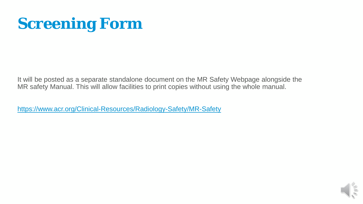### **Screening Form**

It will be posted as a separate standalone document on the MR Safety Webpage alongside the MR safety Manual. This will allow facilities to print copies without using the whole manual.

[https://www.acr.org/Clinical-Resources/Radiology-Safety/MR-Safety](https://nam05.safelinks.protection.outlook.com/?url=https%3A%2F%2Fwww.acr.org%2FClinical-Resources%2FRadiology-Safety%2FMR-Safety&data=02%7C01%7Cjgoch%40geisinger.edu%7C3cdc20552c5e40b5dd2208d7992a0e5a%7C37d46c567c664402a16055c2313b910d%7C0%7C0%7C637146278223816190&sdata=yq5Q4lJtgvFBTqM5BC0LNz5VMGfjfpLJaoIt79iNQVU%3D&reserved=0)